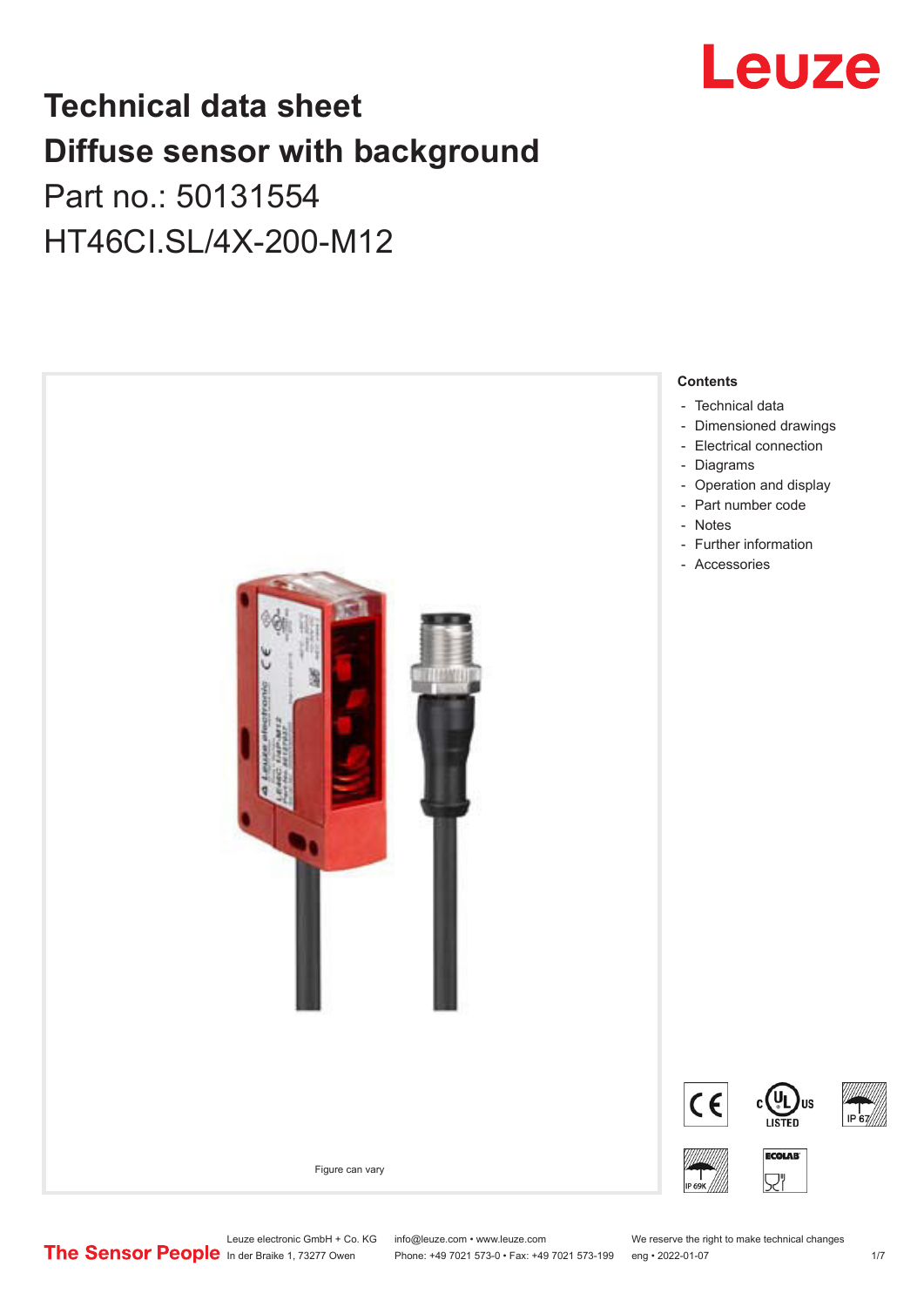

## **Technical data sheet Diffuse sensor with background**  Part no.: 50131554

HT46CI.SL/4X-200-M12



Leuze electronic GmbH + Co. KG info@leuze.com • www.leuze.com We reserve the right to make technical changes<br>
The Sensor People in der Braike 1, 73277 Owen Phone: +49 7021 573-0 • Fax: +49 7021 573-199 eng • 2022-01-07

Phone: +49 7021 573-0 • Fax: +49 7021 573-199 eng • 2022-01-07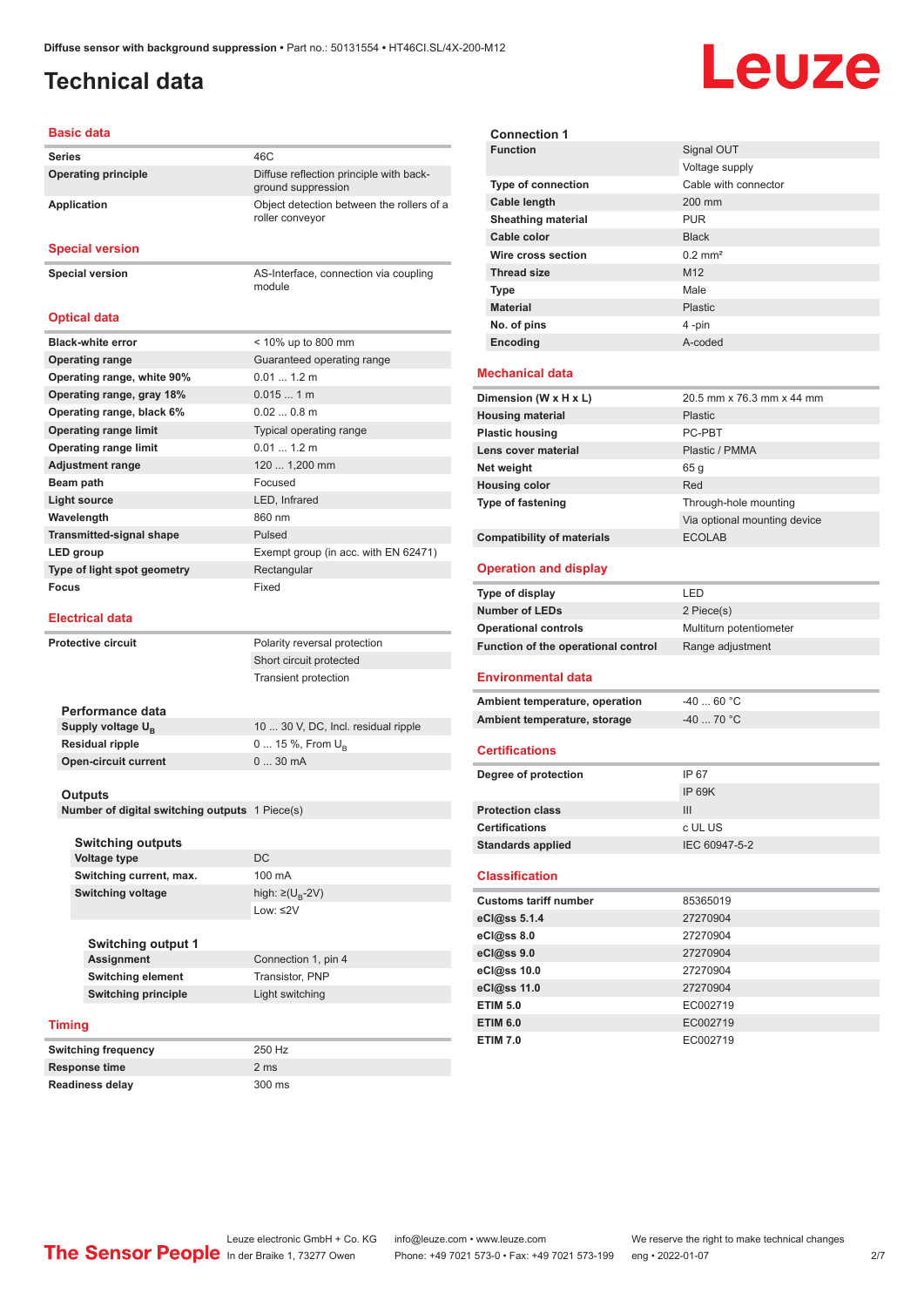module

### <span id="page-1-0"></span>**Technical data**

# Leuze

#### **Basic data**

| <b>Series</b>              | 46C                                                           |
|----------------------------|---------------------------------------------------------------|
| <b>Operating principle</b> | Diffuse reflection principle with back-<br>ground suppression |
| <b>Application</b>         | Object detection between the rollers of a<br>roller conveyor  |

#### **Special version**

**Special version** AS-Interface, connection via coupling

**Optical data**

| <b>Black-white error</b>        | < 10% up to 800 mm                   |
|---------------------------------|--------------------------------------|
| <b>Operating range</b>          | Guaranteed operating range           |
| Operating range, white 90%      | 0.011.2 m                            |
| Operating range, gray 18%       | $0.0151$ m                           |
| Operating range, black 6%       | $0.020.8$ m                          |
| <b>Operating range limit</b>    | Typical operating range              |
| <b>Operating range limit</b>    | 0.011.2 m                            |
| <b>Adjustment range</b>         | 120  1,200 mm                        |
| Beam path                       | Focused                              |
| Light source                    | LED, Infrared                        |
| Wavelength                      | 860 nm                               |
| <b>Transmitted-signal shape</b> | Pulsed                               |
| LED group                       | Exempt group (in acc. with EN 62471) |
| Type of light spot geometry     | Rectangular                          |
| Focus                           | Fixed                                |

#### **Electrical data**

| <b>Protective circuit</b> |                                                                             |                                                | Polarity reversal protection        |
|---------------------------|-----------------------------------------------------------------------------|------------------------------------------------|-------------------------------------|
|                           |                                                                             |                                                | Short circuit protected             |
|                           |                                                                             |                                                | <b>Transient protection</b>         |
|                           |                                                                             |                                                |                                     |
|                           |                                                                             | Performance data                               |                                     |
|                           |                                                                             | Supply voltage U <sub>R</sub>                  | 10  30 V, DC, Incl. residual ripple |
|                           |                                                                             | <b>Residual ripple</b>                         | 0  15 %, From $U_{p}$               |
|                           |                                                                             | <b>Open-circuit current</b>                    | 030mA                               |
|                           |                                                                             |                                                |                                     |
|                           |                                                                             | <b>Outputs</b>                                 |                                     |
|                           |                                                                             | Number of digital switching outputs 1 Piece(s) |                                     |
|                           |                                                                             |                                                |                                     |
|                           |                                                                             | <b>Switching outputs</b>                       |                                     |
|                           |                                                                             | <b>Voltage type</b>                            | DC.                                 |
|                           |                                                                             | Switching current, max.                        | $100 \text{ mA}$                    |
|                           |                                                                             | <b>Switching voltage</b>                       | high: $\geq$ (U <sub>R</sub> -2V)   |
|                           |                                                                             |                                                | $low:$ $\leq$ 2V                    |
|                           |                                                                             |                                                |                                     |
|                           |                                                                             | <b>Switching output 1</b>                      |                                     |
|                           | <b>Assignment</b><br><b>Switching element</b><br><b>Switching principle</b> |                                                | Connection 1, pin 4                 |
|                           |                                                                             |                                                | Transistor, PNP                     |
|                           |                                                                             |                                                | Light switching                     |
|                           |                                                                             |                                                |                                     |
| <b>Timing</b>             |                                                                             |                                                |                                     |
|                           | <b>Switching frequency</b>                                                  |                                                | 250 Hz                              |
| <b>Response time</b>      |                                                                             |                                                | 2 <sub>ms</sub>                     |

**Readiness delay** 300 ms

| <b>Connection 1</b>                               |                              |
|---------------------------------------------------|------------------------------|
| <b>Function</b>                                   | Signal OUT                   |
|                                                   | Voltage supply               |
| Type of connection                                | Cable with connector         |
| Cable length                                      | 200 mm                       |
| <b>Sheathing material</b>                         | <b>PUR</b>                   |
| Cable color                                       | <b>Black</b>                 |
| Wire cross section                                | $0.2$ mm <sup>2</sup>        |
| <b>Thread size</b>                                | M <sub>12</sub>              |
| <b>Type</b>                                       | Male                         |
| <b>Material</b>                                   | Plastic                      |
| No. of pins                                       | 4-pin                        |
| Encoding                                          | A-coded                      |
| <b>Mechanical data</b>                            |                              |
| Dimension (W x H x L)                             | 20.5 mm x 76.3 mm x 44 mm    |
| <b>Housing material</b>                           | Plastic                      |
| <b>Plastic housing</b>                            | PC-PRT                       |
| Lens cover material                               | Plastic / PMMA               |
| Net weight                                        | 65 <sub>g</sub>              |
| <b>Housing color</b>                              | Red                          |
| Type of fastening                                 | Through-hole mounting        |
|                                                   | Via optional mounting device |
| <b>Compatibility of materials</b>                 | <b>ECOLAB</b>                |
| <b>Operation and display</b>                      |                              |
|                                                   |                              |
| Type of display                                   | LED                          |
| <b>Number of LEDs</b>                             | 2 Piece(s)                   |
| <b>Operational controls</b>                       | Multiturn potentiometer      |
| Function of the operational control               | Range adjustment             |
| <b>Environmental data</b>                         |                              |
| Ambient temperature, operation                    | $-40$ 60 °C                  |
| Ambient temperature, storage                      | $-40$ 70 °C                  |
| <b>Certifications</b>                             |                              |
|                                                   |                              |
| Degree of protection                              | IP 67                        |
| <b>Protection class</b>                           | <b>IP 69K</b>                |
|                                                   | III                          |
| <b>Certifications</b><br><b>Standards applied</b> | c UL US<br>IEC 60947-5-2     |
| <b>Classification</b>                             |                              |
| <b>Customs tariff number</b>                      | 85365019                     |
| eCl@ss 5.1.4                                      | 27270904                     |
| eCl@ss 8.0                                        | 27270904                     |
| eCl@ss 9.0                                        | 27270904                     |
| eCl@ss 10.0                                       | 27270904                     |
| eCl@ss 11.0                                       | 27270904                     |
| <b>ETIM 5.0</b>                                   | EC002719                     |
| <b>ETIM 6.0</b>                                   | EC002719                     |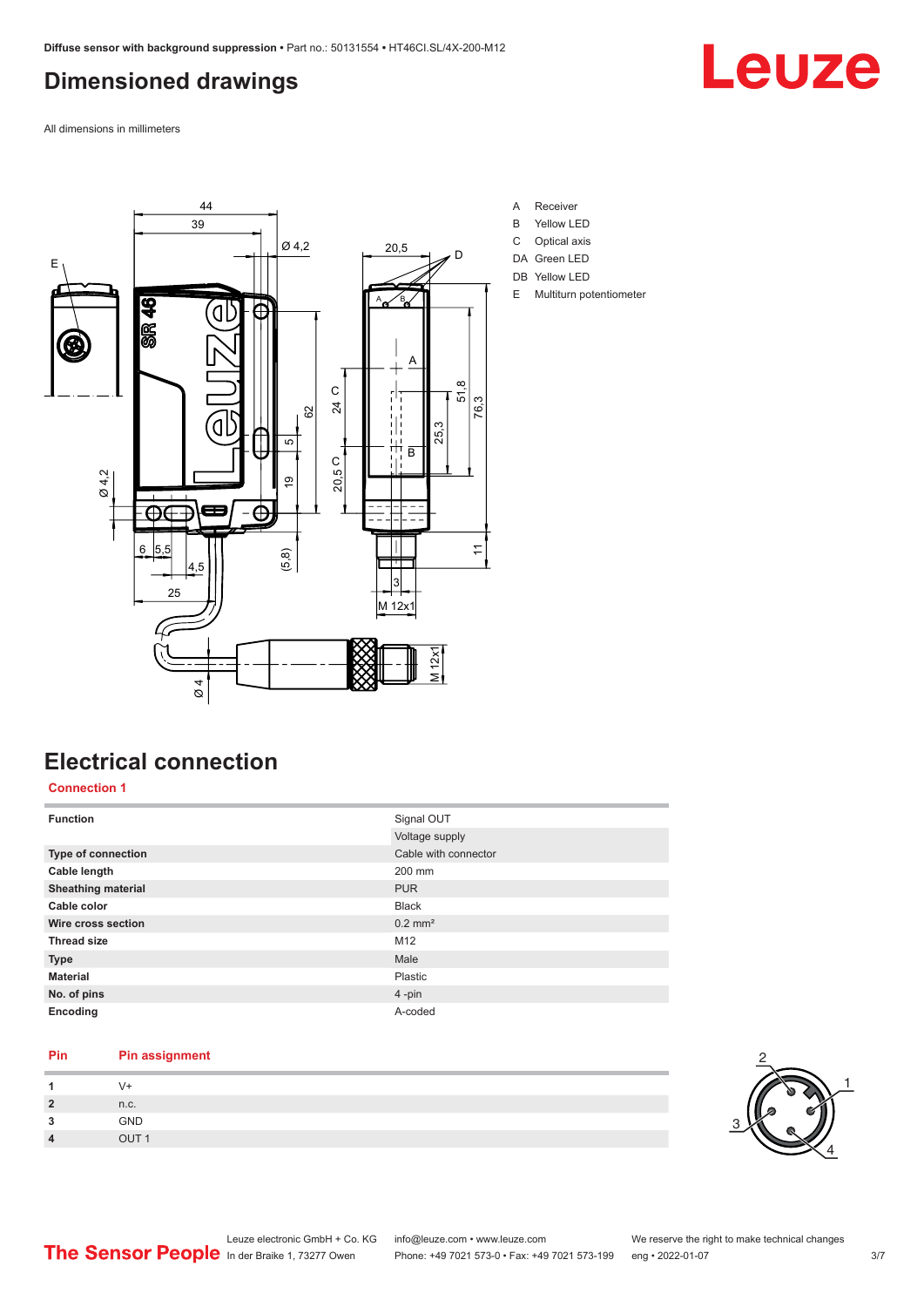## <span id="page-2-0"></span>**Dimensioned drawings**



All dimensions in millimeters



## **Electrical connection**

#### **Connection 1**

| <b>Function</b>           | Signal OUT            |
|---------------------------|-----------------------|
|                           | Voltage supply        |
| <b>Type of connection</b> | Cable with connector  |
| Cable length              | 200 mm                |
| <b>Sheathing material</b> | <b>PUR</b>            |
| Cable color               | <b>Black</b>          |
| Wire cross section        | $0.2$ mm <sup>2</sup> |
| <b>Thread size</b>        | M <sub>12</sub>       |
| <b>Type</b>               | Male                  |
| <b>Material</b>           | Plastic               |
| No. of pins               | $4$ -pin              |
| Encoding                  | A-coded               |

#### **Pin Pin assignment**

| n.c.          |  |  |
|---------------|--|--|
| GND           |  |  |
| $\sim$ $\sim$ |  |  |

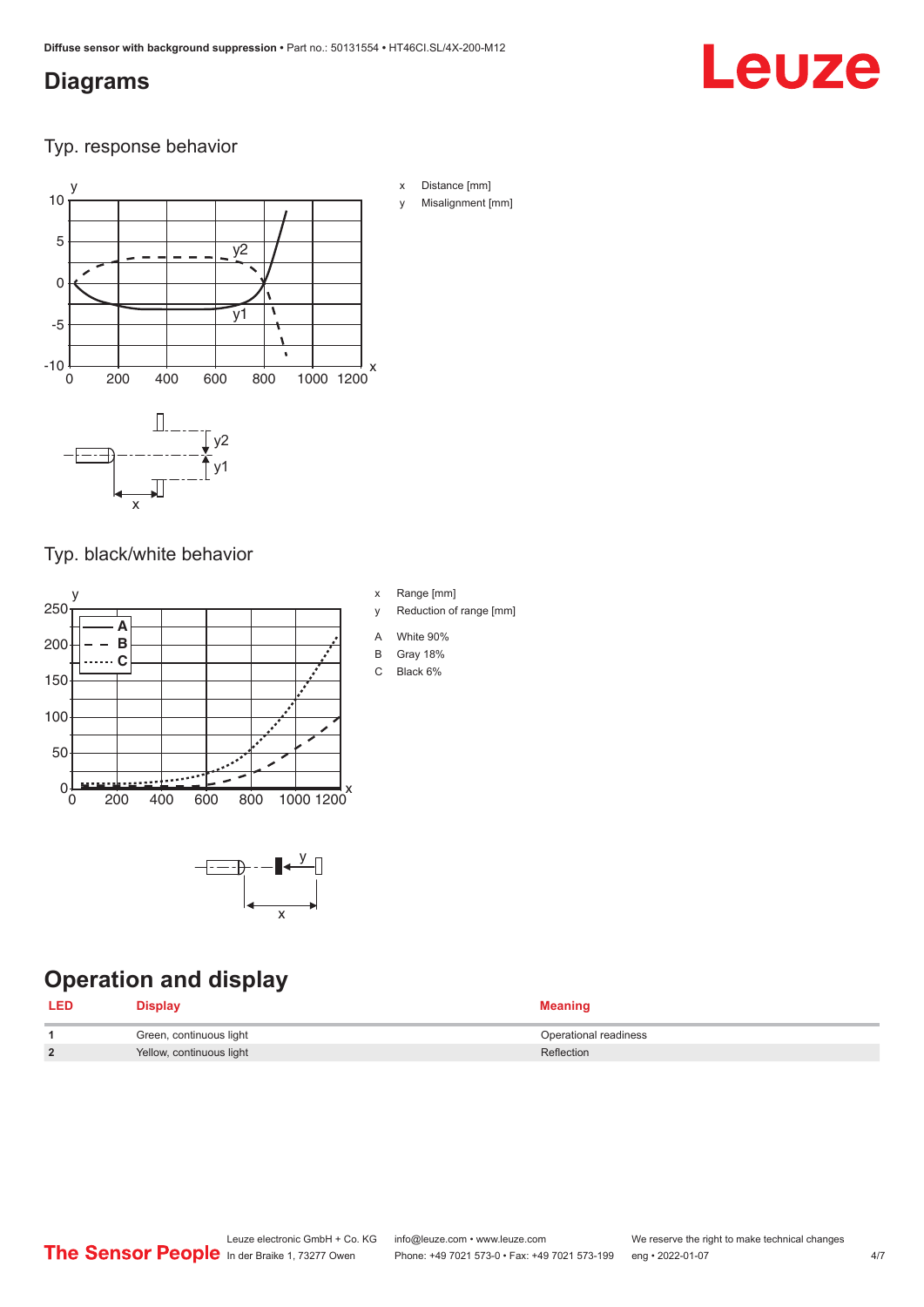#### <span id="page-3-0"></span>**Diagrams**

# Leuze

Typ. response behavior



Typ. black/white behavior



x

## **Operation and display**

| <b>LED</b> | Display                  | <b>Meaning</b>        |
|------------|--------------------------|-----------------------|
|            | Green, continuous light  | Operational readiness |
| າ          | Yellow, continuous light | Reflection            |

x Range [mm]

- y Reduction of range [mm]
- A White 90%
- B Gray 18%
- C Black 6%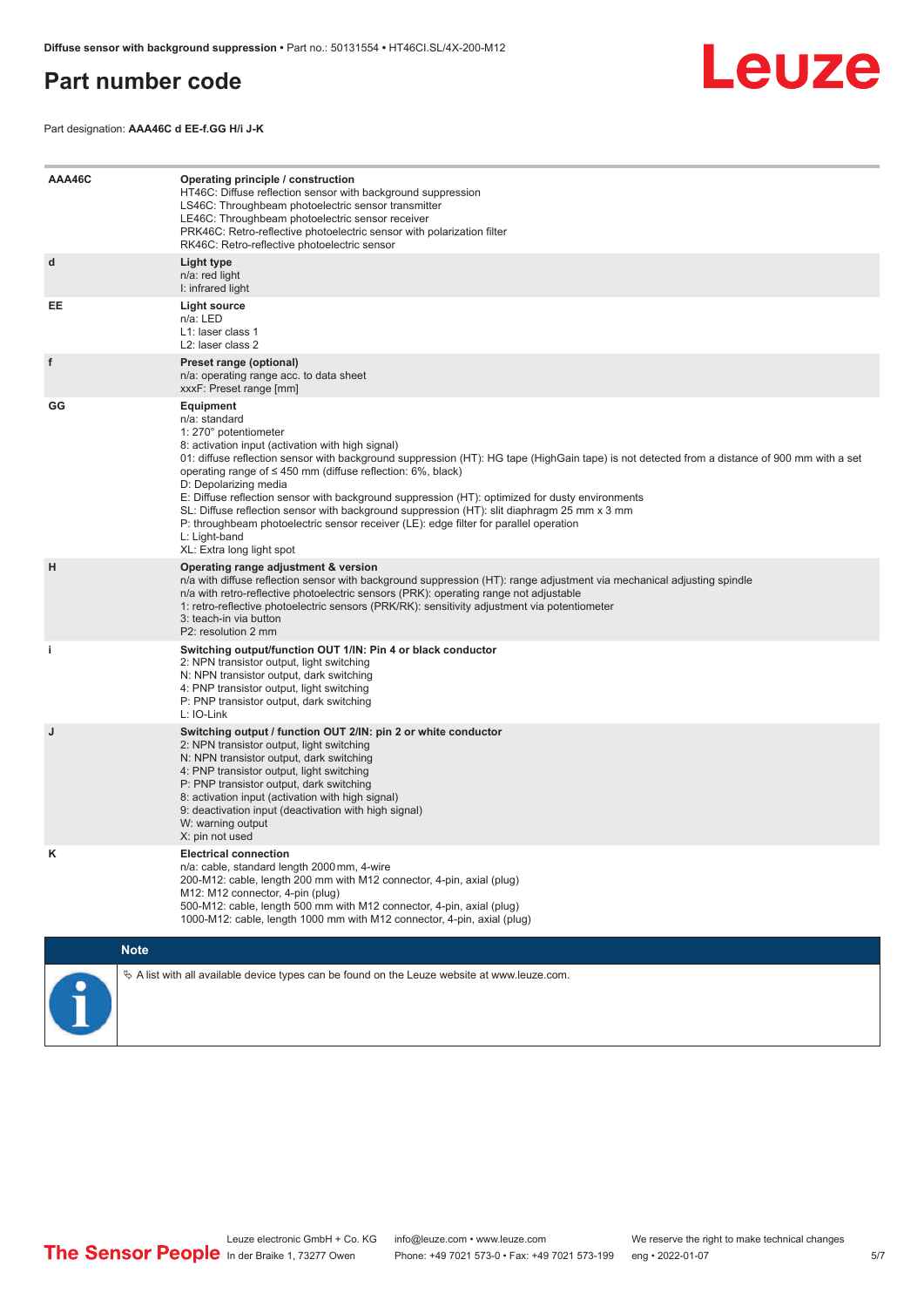#### <span id="page-4-0"></span>**Part number code**



Part designation: **AAA46C d EE-f.GG H/i J-K**

| AAA46C | Operating principle / construction<br>HT46C: Diffuse reflection sensor with background suppression<br>LS46C: Throughbeam photoelectric sensor transmitter<br>LE46C: Throughbeam photoelectric sensor receiver<br>PRK46C: Retro-reflective photoelectric sensor with polarization filter<br>RK46C: Retro-reflective photoelectric sensor                                                                                                                                                                                                                                                                                                                                                        |  |  |  |
|--------|------------------------------------------------------------------------------------------------------------------------------------------------------------------------------------------------------------------------------------------------------------------------------------------------------------------------------------------------------------------------------------------------------------------------------------------------------------------------------------------------------------------------------------------------------------------------------------------------------------------------------------------------------------------------------------------------|--|--|--|
| d      | Light type<br>n/a: red light<br>I: infrared light                                                                                                                                                                                                                                                                                                                                                                                                                                                                                                                                                                                                                                              |  |  |  |
| EE     | Light source<br>n/a: LED<br>L1: laser class 1<br>L <sub>2</sub> : laser class 2                                                                                                                                                                                                                                                                                                                                                                                                                                                                                                                                                                                                                |  |  |  |
| f      | Preset range (optional)<br>n/a: operating range acc. to data sheet<br>xxxF: Preset range [mm]                                                                                                                                                                                                                                                                                                                                                                                                                                                                                                                                                                                                  |  |  |  |
| GG     | Equipment<br>n/a: standard<br>1: 270° potentiometer<br>8: activation input (activation with high signal)<br>01: diffuse reflection sensor with background suppression (HT): HG tape (HighGain tape) is not detected from a distance of 900 mm with a set<br>operating range of $\leq$ 450 mm (diffuse reflection: 6%, black)<br>D: Depolarizing media<br>E: Diffuse reflection sensor with background suppression (HT): optimized for dusty environments<br>SL: Diffuse reflection sensor with background suppression (HT): slit diaphragm 25 mm x 3 mm<br>P: throughbeam photoelectric sensor receiver (LE): edge filter for parallel operation<br>L: Light-band<br>XL: Extra long light spot |  |  |  |
| H      | Operating range adjustment & version<br>n/a with diffuse reflection sensor with background suppression (HT): range adjustment via mechanical adjusting spindle<br>n/a with retro-reflective photoelectric sensors (PRK): operating range not adjustable<br>1: retro-reflective photoelectric sensors (PRK/RK): sensitivity adjustment via potentiometer<br>3: teach-in via button<br>P2: resolution 2 mm                                                                                                                                                                                                                                                                                       |  |  |  |
| j.     | Switching output/function OUT 1/IN: Pin 4 or black conductor<br>2: NPN transistor output, light switching<br>N: NPN transistor output, dark switching<br>4: PNP transistor output, light switching<br>P: PNP transistor output, dark switching<br>L: IO-Link                                                                                                                                                                                                                                                                                                                                                                                                                                   |  |  |  |
| J      | Switching output / function OUT 2/IN: pin 2 or white conductor<br>2: NPN transistor output, light switching<br>N: NPN transistor output, dark switching<br>4: PNP transistor output, light switching<br>P: PNP transistor output, dark switching<br>8: activation input (activation with high signal)<br>9: deactivation input (deactivation with high signal)<br>W: warning output<br>X: pin not used                                                                                                                                                                                                                                                                                         |  |  |  |
| Κ      | <b>Electrical connection</b><br>n/a: cable, standard length 2000 mm, 4-wire<br>200-M12: cable, length 200 mm with M12 connector, 4-pin, axial (plug)<br>M12: M12 connector, 4-pin (plug)<br>500-M12: cable, length 500 mm with M12 connector, 4-pin, axial (plug)<br>1000-M12: cable, length 1000 mm with M12 connector, 4-pin, axial (plug)                                                                                                                                                                                                                                                                                                                                                   |  |  |  |
|        | <b>Note</b>                                                                                                                                                                                                                                                                                                                                                                                                                                                                                                                                                                                                                                                                                    |  |  |  |
|        | $\&$ A list with all available device types can be found on the Leuze website at www.leuze.com.                                                                                                                                                                                                                                                                                                                                                                                                                                                                                                                                                                                                |  |  |  |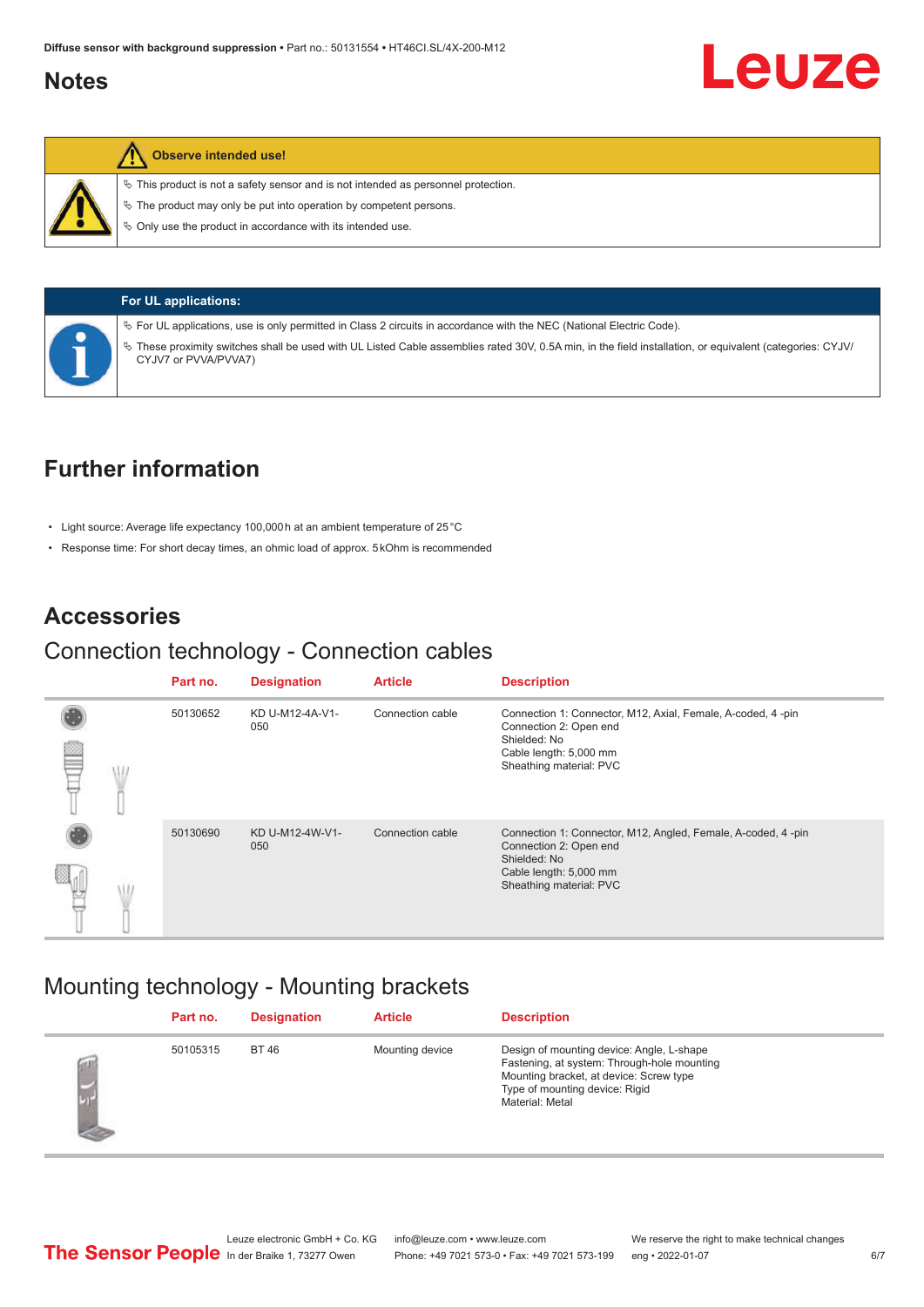#### <span id="page-5-0"></span>**Notes**

#### **Observe intended use!**

 $\%$  This product is not a safety sensor and is not intended as personnel protection.

 $\ddot{\phi}$  The product may only be put into operation by competent persons.

 $\%$  Only use the product in accordance with its intended use.



**For UL applications:** ª For UL applications, use is only permitted in Class 2 circuits in accordance with the NEC (National Electric Code). ª These proximity switches shall be used with UL Listed Cable assemblies rated 30V, 0.5A min, in the field installation, or equivalent (categories: CYJV/ CYJV7 or PVVA/PVVA7)

## **Further information**

- Light source: Average life expectancy 100,000 h at an ambient temperature of 25 °C
- Response time: For short decay times, an ohmic load of approx. 5 kOhm is recommended

#### **Accessories**

#### Connection technology - Connection cables

|  | Part no. | <b>Designation</b>     | <b>Article</b>   | <b>Description</b>                                                                                                                                          |
|--|----------|------------------------|------------------|-------------------------------------------------------------------------------------------------------------------------------------------------------------|
|  | 50130652 | KD U-M12-4A-V1-<br>050 | Connection cable | Connection 1: Connector, M12, Axial, Female, A-coded, 4-pin<br>Connection 2: Open end<br>Shielded: No<br>Cable length: 5,000 mm<br>Sheathing material: PVC  |
|  | 50130690 | KD U-M12-4W-V1-<br>050 | Connection cable | Connection 1: Connector, M12, Angled, Female, A-coded, 4-pin<br>Connection 2: Open end<br>Shielded: No<br>Cable length: 5,000 mm<br>Sheathing material: PVC |

#### Mounting technology - Mounting brackets

|            | Part no. | <b>Designation</b> | <b>Article</b>  | <b>Description</b>                                                                                                                                                                       |
|------------|----------|--------------------|-----------------|------------------------------------------------------------------------------------------------------------------------------------------------------------------------------------------|
| <b>SEP</b> | 50105315 | <b>BT 46</b>       | Mounting device | Design of mounting device: Angle, L-shape<br>Fastening, at system: Through-hole mounting<br>Mounting bracket, at device: Screw type<br>Type of mounting device: Rigid<br>Material: Metal |

Leuze